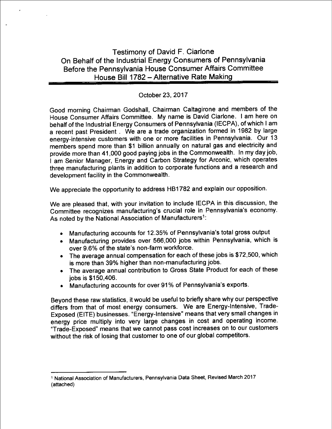# Testimony of David F. Ciarlone On Behalf of the Industrial Energy Consumers of Pennsylvania Before the Pennsylvania House Consumer Affairs Committee House Bill 1782 - Alternative Rate Making

### October 23, 2017

Good morning Chairman Godshall, Chairman Caltagirone and members of the House Consumer Affairs Committee. My name is David Ciarlone. I am here on behalf of the Industrial Energy Consumers of Pennsylvania (IECPA), of which I am a recent past President . We are a trade organization formed in 1982 by large energy-intensive customers with one or more facilities in Pennsylvania. Our 13 members spend more than \$1 billion annually on natural gas and electricity and provide more than 41 .000 good paying jobs in the Commonwealth. In my day job, I am Senior Manager, Energy and Carbon Strategy for Arconic, which operates three manufacturing plants in addition to corporate functions and a research and development facility in the Commonwealth.

We appreciate the opportunity to address HB1782 and explain our opposition.

We are pleased that, with your invitation to include IECPA in this discussion, the Committee recognizes manufacturing's crucial role in Pennsylvania's economy. As noted by the National Association of Manufacturers<sup>1</sup>:

- © Manufacturing accounts for 12.35% of Pennsylvania's total gross output
- e Manufacturing provides over 566,000 jobs within Pennsylvania, which is over 9.6% of the state's non-farm workforce.
- $\bullet$  The average annual compensation for each of these jobs is \$72,500, which is more than 39% higher than non-manufacturing jobs.
- The average annual contribution to Gross State Product for each of these jobs is \$150,406.
- 8 Manufacturing accounts for over 91 % of Pennsylvania's exports.

Beyond these raw statistics, it would be useful to briefly share why our perspective differs from that of most energy consumers. We are Energy-Intensive, Trade-Exposed (EITE) businesses. "Energy-Intensive" means that very small changes in energy price multiply into very large changes in cost and operating income. "Trade-Exposed" means that we cannot pass cost increases on to our customers without the risk of losing that customer to one of our global competitors.

<sup>&</sup>lt;sup>1</sup> National Association of Manufacturers, Pennsylvania Data Sheet, Revised March 2017 (attached)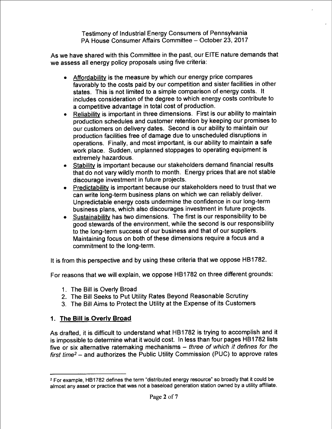As we have shared with this Committee in the past, our EITE nature demands that we assess all energy policy proposals using five criteria:

- Affordability is the measure by which our energy price compares favorably to the costs paid by our competition and sister facilities in other states. This is not limited to a simple comparison of energy costs. It includes consideration of the degree to which energy costs contribute to a competitive advantage in total cost of production.
- Reliability is important in three dimensions. First is our ability to maintain production schedules and customer retention by keeping our promises to our customers on delivery dates. Second is our ability to maintain our production facilities free of damage due to unscheduled disruptions in operations. Finally, and most important, is our ability to maintain a safe work place. Sudden, unplanned stoppages to operating equipment is extremely hazardous. e
- Stability is important because our stakeholders demand financial results that do not vary wildly month to month. Energy prices that are not stable discourage investment in future projects.
- Predictability is important because our stakeholders need to trust that we can write long-term business plans on which we can reliably deliver. Unpredictable energy costs undermine the confidence in our long-term business plans, which also discourages investment in future projects.
- <u>Sustainability</u> has two dimensions. The first is our responsibility to be good stewards of the environment, while the second is our responsibility to the long-term success of our business and that of our suppliers. Maintaining focus on both of these dimensions require a focus and a commitment to the long-term.

It is from this perspective and by using these criteria that we oppose HB1782.

For reasons that we will explain, we oppose HB1782 on three different grounds:

- l The Bill is Overly Broad
- 2 The Bill Seeks to Put Utility Rates Beyond Reasonable Scrutiny
- 3. The Bill Aims to Protect the Utility at the Expense of its Customers

### 1. The Bill is Overly Broad

As drafted. it is difficult to understand what HBI 782 is trying to accomplish and it is impossible to determine what it would cost. In less than four pages HB1782 lists five or six alternative ratemaking mechanisms  $-$  three of which it defines for the  $first time<sup>2</sup> - and authorities the Public Utility Commission (PUC) to approve rates$ 

<sup>&</sup>lt;sup>2</sup> For example, HB1782 defines the term "distributed energy resource" so broadly that it could be almost any asset or practice that was not a baseload generation station owned by a utility affiliate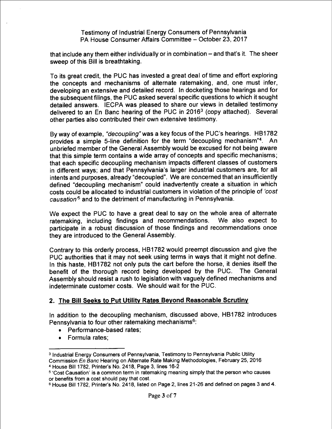that include any them either individually or in combination – and that's it. The sheer sweep of this Bill is breathtaking.

To its great credit, the PUC has invested a great deal of time and effort exploring the concepts and mechanisms of alternate ratemaking. and, one must infer, developing an extensive and detailed record. In docketing those hearings and for the subsequent filings, the PUC asked several specific questions to which it sought detailed answers. IECPA was pleased to share our views in detailed testimony delivered to an En Banc hearing of the PUC in 2016<sup>3</sup> (copy attached). Several other parties also contributed their own extensive testimony.

By way of example, "*decoupling*" was a key focus of the PUC's hearings. HB1782 provides a simple 5-line definition for the term "decoupling mechanism"4. An unbriefed member of the General Assembly would be excused for not being aware that this simple term contains a wide array of concepts and specific mechanisms; that each specific decoupling mechanism impacts different classes of customers in different ways; and that Pennsylvania's larger industrial customers are, for all intents and purposes, already "decoupled". We are concerned that an insufficiently defined "decoupling mechanism" could inadvertently create a situation in which costs could be allocated to industrial customers in violation of the principle of 'cost causation<sup>5</sup> and to the detriment of manufacturing in Pennsylvania.

We expect the PUC to have a great deal to say on the whole area of alternate ratemaking including findings and recommendations. We also expect to ratemaking, including findings and recommendations. participate in a robust discussion of those findings and recommendations once they are introduced to the General Assembly.

Contrary to this orderly process, HB1782 would preempt discussion and give the PUC authorities that it may not seek using terms in ways that it might not define. In this haste, HB1782 not only puts the cart before the horse, it denies itself the benefit of the thorough record being developed by the PUC. The General Assembly should resist a rush to legislation with vaguely defined mechanisms and indeterminate customer costs. We should wait for the PUC.

### 2. The Bill Seeks to Put Utility Rates Beyond Reasonable Scrutiny

In addition to the decoupling mechanism, discussed above, HB1782 introduces Pennsylvania to four other ratemaking mechanisms<sup>6</sup>:

- Performance-based rates:
- Formula rates:

<sup>3</sup> Industrial Energy Consumers of Pennsylvania. Testimony to Pennsylvania Public Utility Commission En Banc Hearing on Alternate Rate Making Methodologies, February 25, 2016 4 House Bill 1782. Printer's No. 2418. Page 3. lines 16-2

<sup>&</sup>lt;sup>5</sup> 'Cost Causation' is a common term in ratemaking meaning simply that the person who causes or benefits from a cost should pay that cost.

<sup>6</sup> House Bill 1782. Printer's No. 2418, listed on Page 2, lines 21-26 and defined on pages 3 and 4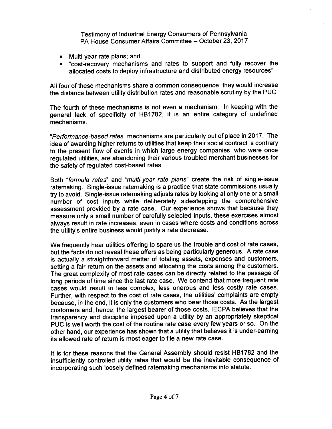- Multi-year rate plans; and
- 8 "cost-recovery mechanisms and rates to support and fully recover the allocated costs to deploy infrastructure and distributed energy resources"

All four of these mechanisms share a common consequence: they would increase the distance between utility distribution rates and reasonable scrutiny by the PUC.

The fourth of these mechanisms is not even a mechanism. In keeping with the general lack of specificity of HB1782, it is an entire category of undefined mechanisms.

"Performance-based rates" mechanisms are particularly out of place in 2017. The idea of awarding higher returns to utilities that keep their social contract is contrary to the present flow of events in which large energy companies, who were once regulated utilities, are abandoning their various troubled merchant businesses for the safety of regulated cost-based rates.

Both "formula rates" and "multi-year rate plans" create the risk of single-issue ratemaking. Single-issue ratemaking is a practice that state commissions usually try to avoid. Single-issue ratemaking adjusts rates by looking at only one or a small number of cost inputs while deliberately sidestepping the comprehensive assessment provided by a rate case. Our experience shows that because they measure only a small number of carefully selected inputs, these exercises almost always result in rate increases, even in cases where costs and conditions across the utility's entire business would justify a rate decrease.

We frequently hear utilities offering to spare us the trouble and cost of rate cases, but the facts do not reveal these offers as being particularly generous. A rate case is actually a straightforward matter of totaling assets, expenses and customers, setting a fair return on the assets and allocating the costs among the customers. The great complexity of most rate cases can be directly related to the passage of long periods of time since the last rate case. We contend that more frequent rate cases would result in less complex, less onerous and less costly rate cases. Further, with respect to the cost of rate cases, the utilities' complaints are empty because, in the end, it is only the customers who bear those costs. As the largest customers and. hence, the largest bearer of those costs, IECPA believes that the transparency and discipline imposed upon a utility by an appropriately skeptical PUC is well worth the cost of the routine rate case every few years or so. On the other hand, our experience has shown that a utility that believes it is under-earning its allowed rate of return is most eager to file a new rate case.

It is for these reasons that the General Assembly should resist HB1782 and the insufficiently controlled utility rates that would be the inevitable consequence of incorporating such loosely defined ratemaking mechanisms into statute.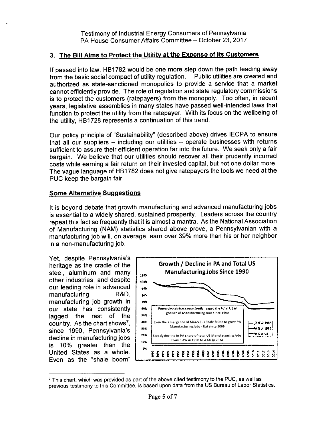## 3. The Bill Aims to Protect the Utility at the Expense of its Customers

If passed into law, HB1782 would be one more step down the path leading away from the basic social compact of utility regulation. Public utilities are created and authorized as state-sanctioned monopolies to provide a service that a market cannot efficiently provide. The role of regulation and state regulatory commissions is to protect the customers (ratepayers) from the monopoly. Too often, in recent years, legislative assemblies in many states have passed well-intended laws that function to protect the utility from the ratepayer. With its focus on the wellbeing of the utility, HB1728 represents a continuation of this trend.

Our policy principle of "Sustainability" (described above) drives IECPA to ensure that all our suppliers  $-$  including our utilities  $-$  operate businesses with returns sufficient to assure their efficient operation far into the future. We seek only a fair bargain. We believe that our utilities should recover all their prudently incurred costs while earning a fair return on their invested capital, but not one dollar more. The vague language of HB1782 does not give ratepayers the tools we need at the PUC keep the bargain fair.

#### Some Alternative Suggestions

It is beyond debate that growth manufacturing and advanced manufacturing jobs is essential to a widely shared, sustained prosperity. Leaders across the country repeat this fact so frequently that it is almost a mantra. As the National Association of Manufacturing (NAM) statistics shared above prove, a Pennsylvanian with a manufacturing job will, on average, earn over 39% more than his or her neighbor in a non-manufacturing job.

Yet, despite Pennsylvania's heritage as the cradle of the steel, aluminum and many other industries, and despite our leading role in advanced manufacturing R&D. manufacturing job growth in our state has consistently lagged the rest of the country. As the chart shows<sup>7</sup>, since 1990, Pennsylvania's decline in manufacturing jobs is 10% greater than the United States as a whole. Even as the "shale boom"



 $<sup>7</sup>$  This chart, which was provided as part of the above cited testimony to the PUC, as well as</sup> previous testimony to this Committee, is based upon data from the US Bureau of Labor Statistics.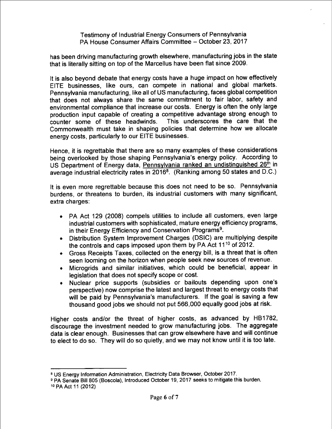has been driving manufacturing growth elsewhere, manufacturing jobs in the state that is literally sitting on top of the Marcellus have been flat since 2009.

It is also beyond debate that energy costs have a huge impact on how effectively EITE businesses, like ours, can compete in national and global markets. Pennsylvania manufacturing, like all of US manufacturing, faces global competition that does not always share the same commitment to fair labor, safety and environmental compliance that increase our costs. Energy is often the only large production input capable of creating a competitive advantage strong enough to counter some of these headwinds. Commonwealth must take in shaping policies that determine how we allocate energy costs, particularly to our EITE businesses.

Hence, it is regrettable that there are so many examples of these considerations being overlooked by those shaping Pennsylvania's energy policy. According to US Department of Energy data, Pennsylvania ranked an undistinguished 26<sup>th</sup> in average industrial electricity rates in 2016<sup>8</sup>. (Ranking among 50 states and D.C.)

It is even more regrettable because this does not need to be so. Pennsylvania burdens, or threatens to burden, its industrial customers with many significant. extra charges:

- © PA Act 129 (2008) compels utilities to include all customers, even large industrial customers with sophisticated, mature energy efficiency programs, in their Energy Efficiency and Conservation Programs<sup>9</sup>.
- Distribution System Improvement Charges (DSIC) are multiplying despite the controls and caps imposed upon them by PA Act  $11^{10}$  of 2012. e
- Gross Receipts Taxes, collected on the energy bill, is a threat that is often seen looming on the horizon when people seek new sources of revenue. ©
- Microgrids and similar initiatives, which could be beneficial, appear in legislation that does not specify scope or cost. e
- Nuclear price supports (subsidies or bailouts depending upon one's perspective) now comprise the latest and largest threat to energy costs that will be paid by Pennsylvania's manufacturers. If the goal is saving a few thousand good jobs we should not put 566,000 equally good jobs at risk. e

Higher costs and/or the threat of higher costs, as advanced by HB1782, discourage the investment needed to grow manufacturing jobs. The aggregate data is clear enough. Businesses that can grow elsewhere have and will continue to elect to do so. They will do so quietly, and we may not know until it is too late.

<sup>&</sup>lt;sup>8</sup> US Energy Information Administration, Electricity Data Browser, October 2017.

<sup>&</sup>lt;sup>9</sup> PA Senate Bill 805 (Boscola), Introduced October 19, 2017 seeks to mitigate this burden. <sup>10</sup> PA Act 11 (2012)